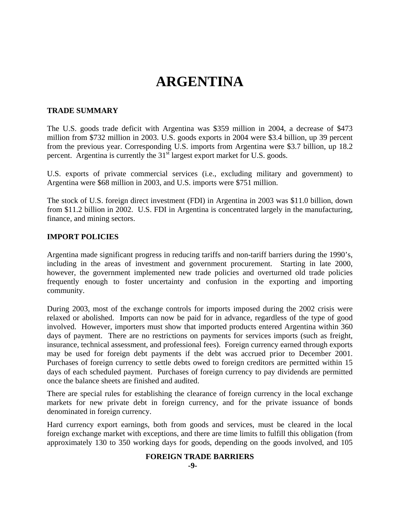# **ARGENTINA**

#### **TRADE SUMMARY**

The U.S. goods trade deficit with Argentina was \$359 million in 2004, a decrease of \$473 million from \$732 million in 2003. U.S. goods exports in 2004 were \$3.4 billion, up 39 percent from the previous year. Corresponding U.S. imports from Argentina were \$3.7 billion, up 18.2 percent. Argentina is currently the 31<sup>st</sup> largest export market for U.S. goods.

U.S. exports of private commercial services (i.e., excluding military and government) to Argentina were \$68 million in 2003, and U.S. imports were \$751 million.

The stock of U.S. foreign direct investment (FDI) in Argentina in 2003 was \$11.0 billion, down from \$11.2 billion in 2002. U.S. FDI in Argentina is concentrated largely in the manufacturing, finance, and mining sectors.

#### **IMPORT POLICIES**

Argentina made significant progress in reducing tariffs and non-tariff barriers during the 1990's, including in the areas of investment and government procurement. Starting in late 2000, however, the government implemented new trade policies and overturned old trade policies frequently enough to foster uncertainty and confusion in the exporting and importing community.

During 2003, most of the exchange controls for imports imposed during the 2002 crisis were relaxed or abolished. Imports can now be paid for in advance, regardless of the type of good involved. However, importers must show that imported products entered Argentina within 360 days of payment. There are no restrictions on payments for services imports (such as freight, insurance, technical assessment, and professional fees). Foreign currency earned through exports may be used for foreign debt payments if the debt was accrued prior to December 2001. Purchases of foreign currency to settle debts owed to foreign creditors are permitted within 15 days of each scheduled payment. Purchases of foreign currency to pay dividends are permitted once the balance sheets are finished and audited.

There are special rules for establishing the clearance of foreign currency in the local exchange markets for new private debt in foreign currency, and for the private issuance of bonds denominated in foreign currency.

Hard currency export earnings, both from goods and services, must be cleared in the local foreign exchange market with exceptions, and there are time limits to fulfill this obligation (from approximately 130 to 350 working days for goods, depending on the goods involved, and 105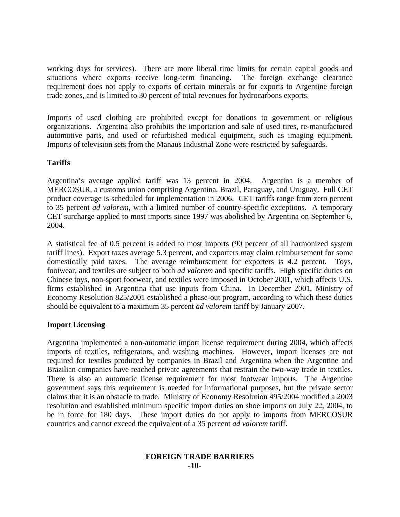working days for services). There are more liberal time limits for certain capital goods and situations where exports receive long-term financing. The foreign exchange clearance requirement does not apply to exports of certain minerals or for exports to Argentine foreign trade zones, and is limited to 30 percent of total revenues for hydrocarbons exports.

Imports of used clothing are prohibited except for donations to government or religious organizations. Argentina also prohibits the importation and sale of used tires, re-manufactured automotive parts, and used or refurbished medical equipment, such as imaging equipment. Imports of television sets from the Manaus Industrial Zone were restricted by safeguards.

# **Tariffs**

Argentina's average applied tariff was 13 percent in 2004. Argentina is a member of MERCOSUR, a customs union comprising Argentina, Brazil, Paraguay, and Uruguay. Full CET product coverage is scheduled for implementation in 2006. CET tariffs range from zero percent to 35 percent *ad valorem*, with a limited number of country-specific exceptions. A temporary CET surcharge applied to most imports since 1997 was abolished by Argentina on September 6, 2004.

A statistical fee of 0.5 percent is added to most imports (90 percent of all harmonized system tariff lines). Export taxes average 5.3 percent, and exporters may claim reimbursement for some domestically paid taxes. The average reimbursement for exporters is 4.2 percent. Toys, footwear, and textiles are subject to both *ad valorem* and specific tariffs. High specific duties on Chinese toys, non-sport footwear, and textiles were imposed in October 2001, which affects U.S. firms established in Argentina that use inputs from China. In December 2001, Ministry of Economy Resolution 825/2001 established a phase-out program, according to which these duties should be equivalent to a maximum 35 percent *ad valorem* tariff by January 2007.

#### **Import Licensing**

Argentina implemented a non-automatic import license requirement during 2004, which affects imports of textiles, refrigerators, and washing machines. However, import licenses are not required for textiles produced by companies in Brazil and Argentina when the Argentine and Brazilian companies have reached private agreements that restrain the two-way trade in textiles. There is also an automatic license requirement for most footwear imports. The Argentine government says this requirement is needed for informational purposes, but the private sector claims that it is an obstacle to trade. Ministry of Economy Resolution 495/2004 modified a 2003 resolution and established minimum specific import duties on shoe imports on July 22, 2004, to be in force for 180 days. These import duties do not apply to imports from MERCOSUR countries and cannot exceed the equivalent of a 35 percent *ad valorem* tariff.

#### **FOREIGN TRADE BARRIERS -10-**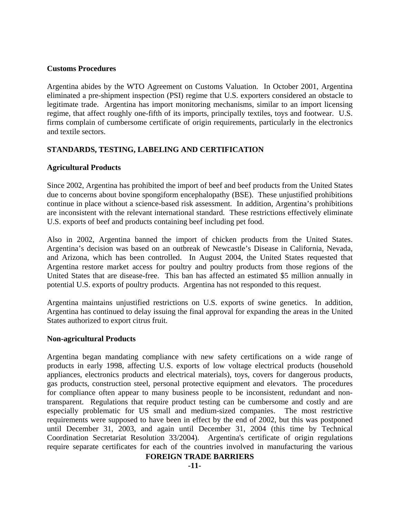#### **Customs Procedures**

Argentina abides by the WTO Agreement on Customs Valuation. In October 2001, Argentina eliminated a pre-shipment inspection (PSI) regime that U.S. exporters considered an obstacle to legitimate trade. Argentina has import monitoring mechanisms, similar to an import licensing regime, that affect roughly one-fifth of its imports, principally textiles, toys and footwear. U.S. firms complain of cumbersome certificate of origin requirements, particularly in the electronics and textile sectors.

# **STANDARDS, TESTING, LABELING AND CERTIFICATION**

#### **Agricultural Products**

Since 2002, Argentina has prohibited the import of beef and beef products from the United States due to concerns about bovine spongiform encephalopathy (BSE). These unjustified prohibitions continue in place without a science-based risk assessment. In addition, Argentina's prohibitions are inconsistent with the relevant international standard. These restrictions effectively eliminate U.S. exports of beef and products containing beef including pet food.

Also in 2002, Argentina banned the import of chicken products from the United States. Argentina's decision was based on an outbreak of Newcastle's Disease in California, Nevada, and Arizona, which has been controlled. In August 2004, the United States requested that Argentina restore market access for poultry and poultry products from those regions of the United States that are disease-free. This ban has affected an estimated \$5 million annually in potential U.S. exports of poultry products. Argentina has not responded to this request.

Argentina maintains unjustified restrictions on U.S. exports of swine genetics. In addition, Argentina has continued to delay issuing the final approval for expanding the areas in the United States authorized to export citrus fruit.

#### **Non-agricultural Products**

Argentina began mandating compliance with new safety certifications on a wide range of products in early 1998, affecting U.S. exports of low voltage electrical products (household appliances, electronics products and electrical materials), toys, covers for dangerous products, gas products, construction steel, personal protective equipment and elevators. The procedures for compliance often appear to many business people to be inconsistent, redundant and nontransparent. Regulations that require product testing can be cumbersome and costly and are especially problematic for US small and medium-sized companies. The most restrictive requirements were supposed to have been in effect by the end of 2002, but this was postponed until December 31, 2003, and again until December 31, 2004 (this time by Technical Coordination Secretariat Resolution 33/2004). Argentina's certificate of origin regulations require separate certificates for each of the countries involved in manufacturing the various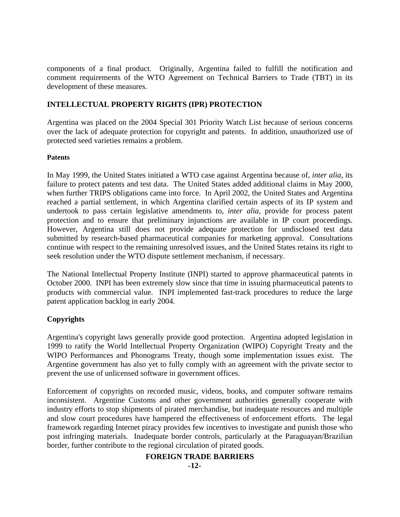components of a final product. Originally, Argentina failed to fulfill the notification and comment requirements of the WTO Agreement on Technical Barriers to Trade (TBT) in its development of these measures.

# **INTELLECTUAL PROPERTY RIGHTS (IPR) PROTECTION**

Argentina was placed on the 2004 Special 301 Priority Watch List because of serious concerns over the lack of adequate protection for copyright and patents. In addition, unauthorized use of protected seed varieties remains a problem.

# **Patents**

In May 1999, the United States initiated a WTO case against Argentina because of, *inter alia*, its failure to protect patents and test data. The United States added additional claims in May 2000, when further TRIPS obligations came into force. In April 2002, the United States and Argentina reached a partial settlement, in which Argentina clarified certain aspects of its IP system and undertook to pass certain legislative amendments to, *inter alia*, provide for process patent protection and to ensure that preliminary injunctions are available in IP court proceedings. However, Argentina still does not provide adequate protection for undisclosed test data submitted by research-based pharmaceutical companies for marketing approval. Consultations continue with respect to the remaining unresolved issues, and the United States retains its right to seek resolution under the WTO dispute settlement mechanism, if necessary.

The National Intellectual Property Institute (INPI) started to approve pharmaceutical patents in October 2000. INPI has been extremely slow since that time in issuing pharmaceutical patents to products with commercial value. INPI implemented fast-track procedures to reduce the large patent application backlog in early 2004.

# **Copyrights**

Argentina's copyright laws generally provide good protection. Argentina adopted legislation in 1999 to ratify the World Intellectual Property Organization (WIPO) Copyright Treaty and the WIPO Performances and Phonograms Treaty, though some implementation issues exist. The Argentine government has also yet to fully comply with an agreement with the private sector to prevent the use of unlicensed software in government offices.

Enforcement of copyrights on recorded music, videos, books, and computer software remains inconsistent. Argentine Customs and other government authorities generally cooperate with industry efforts to stop shipments of pirated merchandise, but inadequate resources and multiple and slow court procedures have hampered the effectiveness of enforcement efforts. The legal framework regarding Internet piracy provides few incentives to investigate and punish those who post infringing materials. Inadequate border controls, particularly at the Paraguayan/Brazilian border, further contribute to the regional circulation of pirated goods.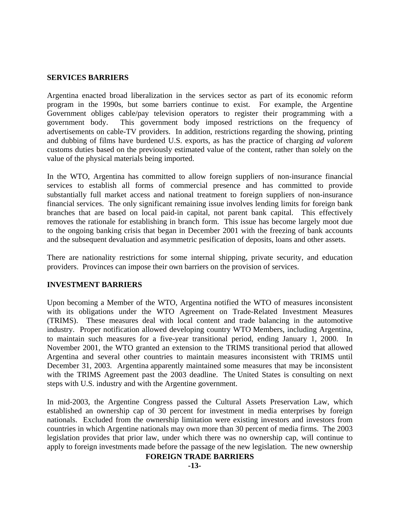#### **SERVICES BARRIERS**

Argentina enacted broad liberalization in the services sector as part of its economic reform program in the 1990s, but some barriers continue to exist. For example, the Argentine Government obliges cable/pay television operators to register their programming with a government body. This government body imposed restrictions on the frequency of advertisements on cable-TV providers. In addition, restrictions regarding the showing, printing and dubbing of films have burdened U.S. exports, as has the practice of charging *ad valorem* customs duties based on the previously estimated value of the content, rather than solely on the value of the physical materials being imported.

In the WTO, Argentina has committed to allow foreign suppliers of non-insurance financial services to establish all forms of commercial presence and has committed to provide substantially full market access and national treatment to foreign suppliers of non-insurance financial services. The only significant remaining issue involves lending limits for foreign bank branches that are based on local paid-in capital, not parent bank capital. This effectively removes the rationale for establishing in branch form. This issue has become largely moot due to the ongoing banking crisis that began in December 2001 with the freezing of bank accounts and the subsequent devaluation and asymmetric pesification of deposits, loans and other assets.

There are nationality restrictions for some internal shipping, private security, and education providers. Provinces can impose their own barriers on the provision of services.

#### **INVESTMENT BARRIERS**

Upon becoming a Member of the WTO, Argentina notified the WTO of measures inconsistent with its obligations under the WTO Agreement on Trade-Related Investment Measures (TRIMS). These measures deal with local content and trade balancing in the automotive industry. Proper notification allowed developing country WTO Members, including Argentina, to maintain such measures for a five-year transitional period, ending January 1, 2000. In November 2001, the WTO granted an extension to the TRIMS transitional period that allowed Argentina and several other countries to maintain measures inconsistent with TRIMS until December 31, 2003. Argentina apparently maintained some measures that may be inconsistent with the TRIMS Agreement past the 2003 deadline. The United States is consulting on next steps with U.S. industry and with the Argentine government.

In mid-2003, the Argentine Congress passed the Cultural Assets Preservation Law, which established an ownership cap of 30 percent for investment in media enterprises by foreign nationals. Excluded from the ownership limitation were existing investors and investors from countries in which Argentine nationals may own more than 30 percent of media firms. The 2003 legislation provides that prior law, under which there was no ownership cap, will continue to apply to foreign investments made before the passage of the new legislation. The new ownership